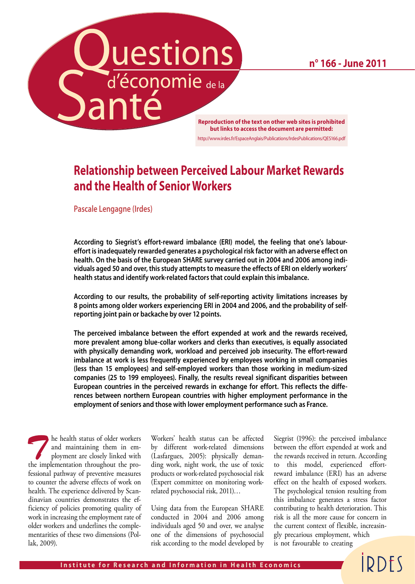**Questions**<br> **Reproduction of the text on other web sites is prohibited** 

**n° 166 - June 2011**

**but links to access the document are permitted:** http://www.irdes.fr/EspaceAnglais/Publications/IrdesPublications/QES166.pdf

### **Relationship between Perceived Labour Market Rewards and the Health of Senior Workers**

**Pascale Lengagne (Irdes)**

**According to Siegrist's effort-reward imbalance (ERI) model, the feeling that one's laboureffort is inadequately rewarded generates a psychological risk factor with an adverse effect on health. On the basis of the European SHARE survey carried out in 2004 and 2006 among individuals aged 50 and over, this study attempts to measure the effects of ERI on elderly workers' health status and identify work-related factors that could explain this imbalance.** 

**According to our results, the probability of self-reporting activity limitations increases by 8 points among older workers experiencing ERI in 2004 and 2006, and the probability of selfreporting joint pain or backache by over 12 points.** 

**The perceived imbalance between the effort expended at work and the rewards received, more prevalent among blue-collar workers and clerks than executives, is equally associated with physically demanding work, workload and perceived job insecurity. The effort-reward imbalance at work is less frequently experienced by employees working in small companies (less than 15 employees) and self-employed workers than those working in medium-sized companies (25 to 199 employees). Finally, the results reveal significant disparities between European countries in the perceived rewards in exchange for effort. This reflects the differences between northern European countries with higher employment performance in the employment of seniors and those with lower employment performance such as France.**

**The health status of older workers**<br>
and maintaining them in em-<br>
ployment are closely linked with<br>
the implementation throughout the proand maintaining them in emthe implementation throughout the professional pathway of preventive measures to counter the adverse effects of work on health. The experience delivered by Scandinavian countries demonstrates the efficiency of policies promoting quality of work in increasing the employment rate of older workers and underlines the complementarities of these two dimensions (Pollak, 2009).

Workers' health status can be affected by different work-related dimensions (Lasfargues, 2005): physically demanding work, night work, the use of toxic products or work-related psychosocial risk (Expert committee on monitoring workrelated psychosocial risk, 2011)…

Using data from the European SHARE conducted in 2004 and 2006 among individuals aged 50 and over, we analyse one of the dimensions of psychosocial risk according to the model developed by

Siegrist (1996): the perceived imbalance between the effort expended at work and the rewards received in return. According to this model, experienced effortreward imbalance (ERI) has an adverse effect on the health of exposed workers. The psychological tension resulting from this imbalance generates a stress factor contributing to health deterioration. This risk is all the more cause for concern in the current context of flexible, increasingly precarious employment, which is not favourable to creating

**IDDFS**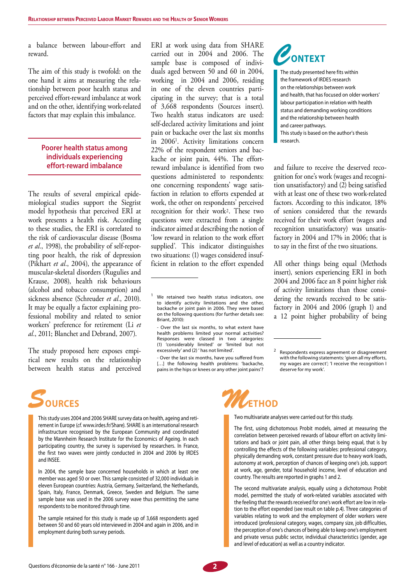a balance between labour-effort and reward.

The aim of this study is twofold: on the one hand it aims at measuring the relationship between poor health status and perceived effort-reward imbalance at work and on the other, identifying work-related factors that may explain this imbalance.

#### **Poorer health status among individuals experiencing effort-reward imbalance**

The results of several empirical epidemiological studies support the Siegrist model hypothesis that perceived ERI at work presents a health risk. According to these studies, the ERI is correlated to the risk of cardiovascular disease (Bosma *et al.*, 1998), the probability of self-reporting poor health, the risk of depression (Pikhart *et al.*, 2004), the appearance of muscular-skeletal disorders (Rugulies and Krause, 2008), health risk behaviours (alcohol and tobacco consumption) and sickness absence (Schreuder *et al.*, 2010). It may be equally a factor explaining professional mobility and related to senior workers' preference for retirement (Li *et al.*, 2011; Blanchet and Debrand, 2007).

The study proposed here exposes empirical new results on the relationship between health status and perceived ERI at work using data from SHARE carried out in 2004 and 2006. The sample base is composed of individuals aged between 50 and 60 in 2004, working in 2004 and 2006, residing in one of the eleven countries participating in the survey; that is a total of 3,668 respondents (Sources insert). Two health status indicators are used: self-declared activity limitations and joint pain or backache over the last six months in 20061. Activity limitations concern 22% of the respondent seniors and backache or joint pain, 44%. The effortreward imbalance is identified from two questions administered to respondents: one concerning respondents' wage satisfaction in relation to efforts expended at work, the other on respondents' perceived recognition for their work2. These two questions were extracted from a single indicator aimed at describing the notion of 'low reward in relation to the work effort supplied'. This indicator distinguishes two situations: (1) wages considered insufficient in relation to the effort expended

- Over the last six months, have you suffered from [...] the following health problems: 'backache, pains in the hips or knees or any other joint pains'?

*C***ontext**

The study presented here fits within the framework of IRDES research on the relationships between work and health, that has focused on older workers' labour participation in relation with health status and demanding working conditions and the relationship between health and career pathways.

This study is based on the author's thesis research.

and failure to receive the deserved recognition for one's work (wages and recognition unsatisfactory) and (2) being satisfied with at least one of these two work-related factors. According to this indicator, 18% of seniors considered that the rewards received for their work effort (wages and recognition unsatisfactory) was unsatisfactory in 2004 and 17% in 2006; that is to say in the first of the two situations.

All other things being equal (Methods insert), seniors experiencing ERI in both 2004 and 2006 face an 8 point higher risk of activity limitations than those considering the rewards received to be satisfactory in 2004 and 2006 (graph 1) and a 12 point higher probability of being

# *S***ources**

The sample retained for this study is made up of 3,668 respondents aged between 50 and 60 years old interviewed in 2004 and again in 2006, and in employment during both survey periods.



Two multivariate analyses were carried out for this study.

The first, using dichotomous Probit models, aimed at measuring the correlation between perceived rewards of labour effort on activity limitations and back or joint pain, all other things being equal, that is by controlling the effects of the following variables: professional category, physically demanding work, constant pressure due to heavy work loads, autonomy at work, perception of chances of keeping one's job, support at work, age, gender, total household income, level of education and country. The results are reported in graphs 1 and 2.

The second multivariate analysis, equally using a dichotomous Probit model, permitted the study of work-related variables associated with the feeling that the rewards received for one's work effort are low in relation to the effort expended (see result on table p.4). Three categories of variables relating to work and the employment of older workers were introduced (professional category, wages, company size, job difficulties, the perception of one's chances of being able to keep one's employment and private versus public sector, individual characteristics (gender, age and level of education) as well as a country indicator.



We retained two health status indicators, one to identify activity limitations and the other, backache or joint pain in 2006. They were based on the following questions (for further details see: Briant, 2010):

<sup>-</sup> Over the last six months, to what extent have health problems limited your normal activities? Responses were classed in two categories: (1) 'considerably limited' or 'limited but not excessively' and (2) ' has not limited'.

Respondents express agreement or disagreement with the following statements: 'given all my efforts, my wages are correct'; 'I receive the recognition I deserve for my work'.

This study uses 2004 and 2006 SHARE survey data on health, ageing and retirement in Europe (*cf.* www.irdes.fr/Share). SHARE is an international research infrastructure recognised by the European Community and coordinated by the Mannheim Research Institute for the Economics of Ageing. In each participating country, the survey is supervised by researchers. In France, the first two waves were jointly conducted in 2004 and 2006 by IRDES and INSEE.

In 2004, the sample base concerned households in which at least one member was aged 50 or over. This sample consisted of 32,000 individuals in eleven European countries: Austria, Germany, Switzerland, the Netherlands, Spain, Italy, France, Denmark, Greece, Sweden and Belgium. The same sample base was used in the 2006 survey wave thus permitting the same respondents to be monitored through time.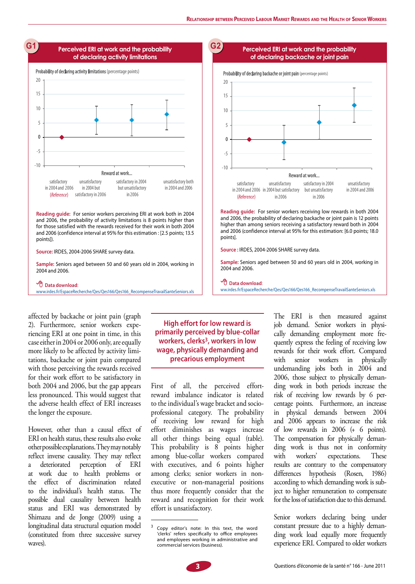**Perceived ERI at work and the probability** 



 **Data download**:

www.irdes.fr/EspaceRecherche/Qes/Qes166/Qes166\_RecompenseTravailSanteSeniors.xls



 **Data download**:

ww.irdes.fr/EspaceRecherche/Qes/Qes166/Qes166\_RecompenseTravailSanteSeniors.xls

affected by backache or joint pain (graph 2). Furthermore, senior workers experiencing ERI at one point in time, in this case either in 2004 or 2006 only, are equally more likely to be affected by activity limitations, backache or joint pain compared with those perceiving the rewards received for their work effort to be satisfactory in both 2004 and 2006, but the gap appears less pronounced. This would suggest that the adverse health effect of ERI increases the longer the exposure.

However, other than a causal effect of ERI on health status, these results also evoke other possible explanations. They may notably reflect inverse causality. They may reflect a deteriorated perception of ERI at work due to health problems or the effect of discrimination related to the individual's health status. The possible dual causality between health status and ERI was demonstrated by Shimazu and de Jonge (2009) using a longitudinal data structural equation model (constituted from three successive survey waves).

### **High effort for low reward is primarily perceived by blue-collar workers, clerks3, workers in low wage, physically demanding and precarious employment**

First of all, the perceived effortreward imbalance indicator is related to the individual's wage bracket and socioprofessional category. The probability of receiving low reward for high effort diminishes as wages increase all other things being equal (table). This probability is 8 points higher among blue-collar workers compared with executives, and 6 points higher among clerks; senior workers in nonexecutive or non-managerial positions thus more frequently consider that the reward and recognition for their work effort is unsatisfactory.

The ERI is then measured against job demand. Senior workers in physically demanding employment more frequently express the feeling of receiving low rewards for their work effort. Compared with senior workers in physically undemanding jobs both in 2004 and 2006, those subject to physically demanding work in both periods increase the risk of receiving low rewards by 6 percentage points. Furthermore, an increase in physical demands between 2004 and 2006 appears to increase the risk of low rewards in 2006 (+ 6 points). The compensation for physically demanding work is thus not in conformity with workers' expectations. These results are contrary to the compensatory differences hypothesis (Rosen, 1986) according to which demanding work is subject to higher remuneration to compensate for the loss of satisfaction due to this demand.

Senior workers declaring being under constant pressure due to a highly demanding work load equally more frequently experience ERI. Compared to older workers

Copy editor's note: In this text, the word 'clerks' refers specifically to office employees and employees working in administrative and commercial services (business).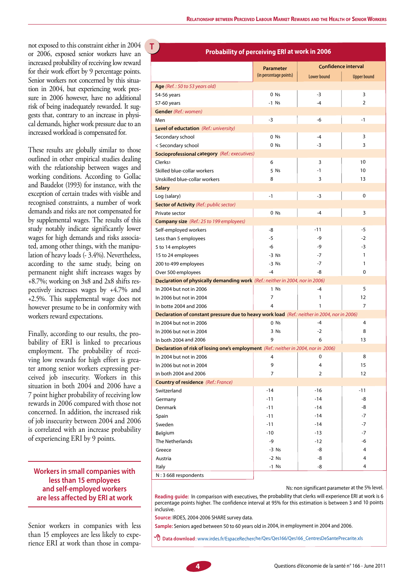not exposed to this constraint either in 2004 **T** or 2006, exposed senior workers have an increased probability of receiving low reward for their work effort by 9 percentage points. Senior workers not concerned by this situation in 2004, but experiencing work pressure in 2006 however, have no additional risk of being inadequately rewarded. It suggests that, contrary to an increase in physical demands, higher work pressure due to an increased workload is compensated for.

These results are globally similar to those outlined in other empirical studies dealing with the relationship between wages and working conditions. According to Gollac and Baudelot (1993) for instance, with the exception of certain trades with visible and recognised constraints, a number of work demands and risks are not compensated for by supplemental wages. The results of this study notably indicate significantly lower wages for high demands and risks associated, among other things, with the manipulation of heavy loads (- 3.4%). Nevertheless, according to the same study, being on permanent night shift increases wages by +8.7%; working on 3x8 and 2x8 shifts respectively increases wages by +4.7% and +2.5%. This supplemental wage does not however presume to be in conformity with workers reward expectations.

Finally, according to our results, the probability of ERI is linked to precarious employment. The probability of receiving low rewards for high effort is greater among senior workers expressing perceived job insecurity. Workers in this situation in both 2004 and 2006 have a 7 point higher probability of receiving low rewards in 2006 compared with those not concerned. In addition, the increased risk of job insecurity between 2004 and 2006 is correlated with an increase probability of experiencing ERI by 9 points.

#### **Workers in small companies with less than 15 employees and self-employed workers are less affected by ERI at work**

Senior workers in companies with less than 15 employees are less likely to experience ERI at work than those in compa-

#### **Probability of perceiving ERI at work in 2006**

|                                                                                              | <b>Parameter</b>       | <b>Confidence interval</b> |                    |
|----------------------------------------------------------------------------------------------|------------------------|----------------------------|--------------------|
|                                                                                              | (in percentage points) | Lower bound                | <b>Upper bound</b> |
| Age (Ref.: 50 to 53 years old)                                                               |                        |                            |                    |
| 54-56 years                                                                                  | 0 Ns                   | $-3$                       | 3                  |
| 57-60 years                                                                                  | $-1$ Ns                | $-4$                       | 2                  |
| <b>Gender</b> (Ref.: women)                                                                  |                        |                            |                    |
| Men                                                                                          | -3                     | -6                         | -1                 |
| Level of eductation (Ref.: university)                                                       |                        |                            |                    |
| Secondary school                                                                             | 0 Ns                   | $-4$                       | 3                  |
| < Secondary school                                                                           | $0$ Ns                 | -3                         | 3                  |
| <b>Socioprofessional category</b> (Ref.: executives)                                         |                        |                            |                    |
| Clerks <sup>3</sup>                                                                          | 6                      | 3                          | 10                 |
| Skilled blue-collar workers                                                                  | 5 Ns                   | $-1$                       | 10                 |
| Unskilled blue-collar workers                                                                | 8                      | 3                          | 13                 |
| <b>Salary</b>                                                                                |                        |                            |                    |
|                                                                                              | $-1$                   | -3                         | 0                  |
| Log (salary)<br>Sector of Activity (Ref.: public sector)                                     |                        |                            |                    |
|                                                                                              |                        | -4                         | 3                  |
| Private sector                                                                               | $0$ Ns                 |                            |                    |
| <b>Company size</b> (Ref.: 25 to 199 employees)                                              |                        |                            |                    |
| Self-employed workers                                                                        | -8                     | $-11$                      | -5<br>$-2$         |
| Less than 5 employees                                                                        | $-5$                   | -9                         |                    |
| 5 to 14 employees                                                                            | -6                     | -9                         | -3                 |
| 15 to 24 employees                                                                           | $-3$ Ns                | $-7$                       | 1                  |
| 200 to 499 employees                                                                         | $-3$ Ns                | $-7$                       | 1                  |
| Over 500 employees                                                                           | $-4$                   | -8                         | 0                  |
| Declaration of physically demanding work (Ref.: neither in 2004, nor in 2006)                |                        |                            |                    |
| In 2004 but not in 2006                                                                      | 1 Ns                   | -4                         | 5                  |
| In 2006 but not in 2004                                                                      | 7                      | 1                          | 12                 |
| In botte 2004 and 2006                                                                       | 4                      | 1                          | 7                  |
| Declaration of constant pressure due to heavy work load (Ref.: neither in 2004, nor in 2006) |                        |                            |                    |
| In 2004 but not in 2006                                                                      | $0$ Ns                 | -4                         | 4                  |
| In 2006 but not in 2004                                                                      | 3 Ns                   | $-2$                       | 8                  |
| In both 2004 and 2006                                                                        | 9                      | 6                          | 13                 |
| Declaration of risk of losing one's employment (Ref.: neither in 2004, nor in 2006)          |                        |                            |                    |
| In 2004 but not in 2006                                                                      | 4                      | 0                          | 8                  |
| In 2006 but not in 2004                                                                      | 9                      | 4                          | 15                 |
| In both 2004 and 2006                                                                        | 7                      | 2                          | 12                 |
| <b>Country of residence</b> (Ref.: France)                                                   |                        |                            |                    |
| Switzerland                                                                                  | $-14$                  | $-16$                      | $-11$              |
| Germany                                                                                      | $-11$                  | $-14$                      | -8                 |
| Denmark                                                                                      | $-11$                  | $-14$                      | -8                 |
| Spain                                                                                        | $-11$                  | $-14$                      | $-7$               |
| Sweden                                                                                       | $-11$                  | $-14$                      | $-7$               |
| Belgium                                                                                      | $-10$                  | $-13$                      | $-7$               |
| The Netherlands                                                                              | -9                     | -12                        | -6                 |
| Greece                                                                                       | $-3$ Ns                | -8                         | 4                  |
| Austria                                                                                      | $-2$ Ns                | -8                         | 4                  |
| Italy                                                                                        | $-1$ Ns                | -8                         | 4                  |
| N:3 668 respondents                                                                          |                        |                            |                    |

Ns: non significant parameter at the 5% level.

**Reading guide:** In comparison with executives, the probability that clerks will experience ERI at work is 6 percentage points higher. The confidence interval at 95% for this estimation is between 3 and 10 points inclusive.

**Source:** IRDES, 2004-2006 SHARE survey data.

**Sample:** Seniors aged between 50 to 60 years old in 2004, in employment in 2004 and 2006.

 **Data download**: www.irdes.fr/EspaceRecherche/Qes/Qes166/Qes166\_CentresDeSantePrecarite.xls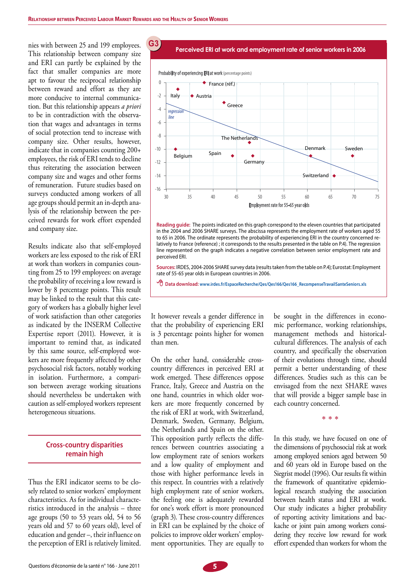**G31**

nies with between 25 and 199 employees. This relationship between company size and ERI can partly be explained by the fact that smaller companies are more apt to favour the reciprocal relationship between reward and effort as they are more conducive to internal communication. But this relationship appears *a priori* to be in contradiction with the observation that wages and advantages in terms of social protection tend to increase with company size. Other results, however, indicate that in companies counting 200+ employees, the risk of ERI tends to decline thus reiterating the association between company size and wages and other forms of remuneration. Future studies based on surveys conducted among workers of all age groups should permit an in-depth analysis of the relationship between the perceived rewards for work effort expended and company size.

Results indicate also that self-employed workers are less exposed to the risk of ERI at work than workers in companies counting from 25 to 199 employees: on average the probability of receiving a low reward is lower by 8 percentage points. This result may be linked to the result that this category of workers has a globally higher level of work satisfaction than other categories as indicated by the INSERM Collective Expertise report (2011). However, it is important to remind that, as indicated by this same source, self-employed workers are more frequently affected by other psychosocial risk factors, notably working in isolation. Furthermore, a comparison between average working situations should nevertheless be undertaken with caution as self-employed workers represent heterogeneous situations.

#### **Cross-country disparities remain high**

Thus the ERI indicator seems to be closely related to senior workers' employment characteristics. As for individual characteristics introduced in the analysis – three age groups (50 to 53 years old, 54 to 56 years old and 57 to 60 years old), level of education and gender –, their influence on the perception of ERI is relatively limited.

 **Perceived ERI at work and employment rate of senior workers in 2006**



**Reading guide:** The points indicated on this graph correspond to the eleven countries that participated in the 2004 and 2006 SHARE surveys. The abscissa represents the employment rate of workers aged 55 to 65 in 2006. The ordinate represents the probability of experiencing ERI in the country concerned relatively to France (reference) ; it corresponds to the results presented in the table on P.4). The regression line represented on the graph indicates a negative correlation between senior employment rate and perceived ERI.

**Sources:** IRDES, 2004-2006 SHARE survey data (results taken from the table on P.4); Eurostat: Employment rate of 55-65 year olds in European countries in 2006.

 **Data download: www.irdes.fr/EspaceRecherche/Qes/Qes166/Qes166\_RecompenseTravailSanteSeniors.xls**

It however reveals a gender difference in that the probability of experiencing ERI is 3 percentage points higher for women than men.

On the other hand, considerable crosscountry differences in perceived ERI at work emerged. These differences oppose France, Italy, Greece and Austria on the one hand, countries in which older workers are more frequently concerned by the risk of ERI at work, with Switzerland, Denmark, Sweden, Germany, Belgium, the Netherlands and Spain on the other. This opposition partly reflects the differences between countries associating a low employment rate of seniors workers and a low quality of employment and those with higher performance levels in this respect. In countries with a relatively high employment rate of senior workers, the feeling one is adequately rewarded for one's work effort is more pronounced (graph 3). These cross-country differences in ERI can be explained by the choice of policies to improve older workers' employment opportunities. They are equally to

be sought in the differences in economic performance, working relationships, management methods and historicalcultural differences. The analysis of each country, and specifically the observation of their evolutions through time, should permit a better understanding of these differences. Studies such as this can be envisaged from the next SHARE waves that will provide a bigger sample base in each country concerned.

\* \* \*

In this study, we have focused on one of the dimensions of psychosocial risk at work among employed seniors aged between 50 and 60 years old in Europe based on the Siegrist model (1996). Our results fit within the framework of quantitative epidemiological research studying the association between health status and ERI at work. Our study indicates a higher probability of reporting activity limitations and backache or joint pain among workers considering they receive low reward for work effort expended than workers for whom the